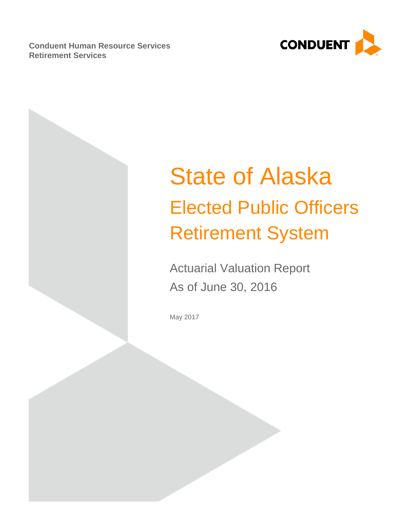**Conduent Human Resource Services Retirement Services**



# State of Alaska Elected Public Officers Retirement System

Actuarial Valuation Report As of June 30, 2016

May 2017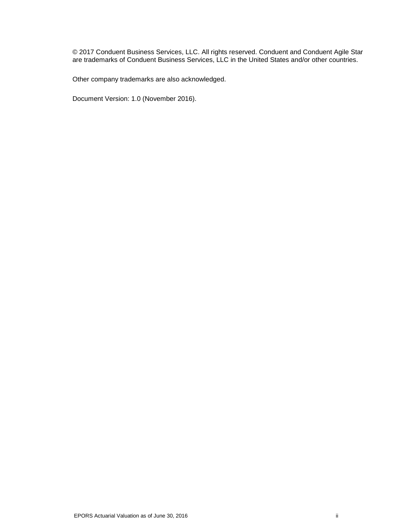© 2017 Conduent Business Services, LLC. All rights reserved. Conduent and Conduent Agile Star are trademarks of Conduent Business Services, LLC in the United States and/or other countries.

Other company trademarks are also acknowledged.

Document Version: 1.0 (November 2016).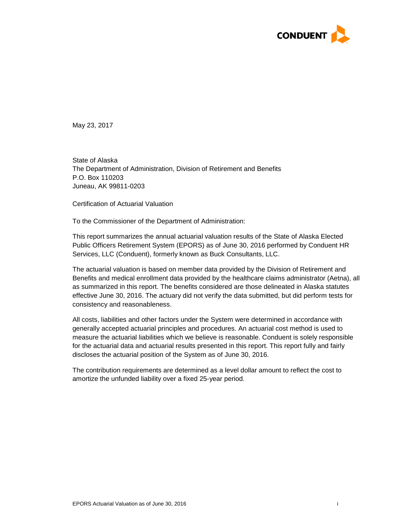

May 23, 2017

State of Alaska The Department of Administration, Division of Retirement and Benefits P.O. Box 110203 Juneau, AK 99811-0203

Certification of Actuarial Valuation

To the Commissioner of the Department of Administration:

This report summarizes the annual actuarial valuation results of the State of Alaska Elected Public Officers Retirement System (EPORS) as of June 30, 2016 performed by Conduent HR Services, LLC (Conduent), formerly known as Buck Consultants, LLC.

The actuarial valuation is based on member data provided by the Division of Retirement and Benefits and medical enrollment data provided by the healthcare claims administrator (Aetna), all as summarized in this report. The benefits considered are those delineated in Alaska statutes effective June 30, 2016. The actuary did not verify the data submitted, but did perform tests for consistency and reasonableness.

All costs, liabilities and other factors under the System were determined in accordance with generally accepted actuarial principles and procedures. An actuarial cost method is used to measure the actuarial liabilities which we believe is reasonable. Conduent is solely responsible for the actuarial data and actuarial results presented in this report. This report fully and fairly discloses the actuarial position of the System as of June 30, 2016.

The contribution requirements are determined as a level dollar amount to reflect the cost to amortize the unfunded liability over a fixed 25-year period.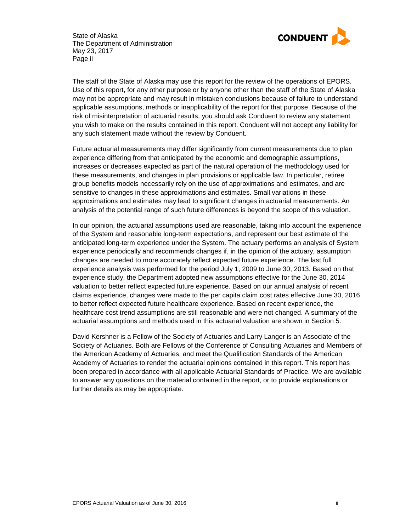

State of Alaska The Department of Administration May 23, 2017 Page ii

The staff of the State of Alaska may use this report for the review of the operations of EPORS. Use of this report, for any other purpose or by anyone other than the staff of the State of Alaska may not be appropriate and may result in mistaken conclusions because of failure to understand applicable assumptions, methods or inapplicability of the report for that purpose. Because of the risk of misinterpretation of actuarial results, you should ask Conduent to review any statement you wish to make on the results contained in this report. Conduent will not accept any liability for any such statement made without the review by Conduent.

Future actuarial measurements may differ significantly from current measurements due to plan experience differing from that anticipated by the economic and demographic assumptions, increases or decreases expected as part of the natural operation of the methodology used for these measurements, and changes in plan provisions or applicable law. In particular, retiree group benefits models necessarily rely on the use of approximations and estimates, and are sensitive to changes in these approximations and estimates. Small variations in these approximations and estimates may lead to significant changes in actuarial measurements. An analysis of the potential range of such future differences is beyond the scope of this valuation.

In our opinion, the actuarial assumptions used are reasonable, taking into account the experience of the System and reasonable long-term expectations, and represent our best estimate of the anticipated long-term experience under the System. The actuary performs an analysis of System experience periodically and recommends changes if, in the opinion of the actuary, assumption changes are needed to more accurately reflect expected future experience. The last full experience analysis was performed for the period July 1, 2009 to June 30, 2013. Based on that experience study, the Department adopted new assumptions effective for the June 30, 2014 valuation to better reflect expected future experience. Based on our annual analysis of recent claims experience, changes were made to the per capita claim cost rates effective June 30, 2016 to better reflect expected future healthcare experience. Based on recent experience, the healthcare cost trend assumptions are still reasonable and were not changed. A summary of the actuarial assumptions and methods used in this actuarial valuation are shown in Section 5.

David Kershner is a Fellow of the Society of Actuaries and Larry Langer is an Associate of the Society of Actuaries. Both are Fellows of the Conference of Consulting Actuaries and Members of the American Academy of Actuaries, and meet the Qualification Standards of the American Academy of Actuaries to render the actuarial opinions contained in this report. This report has been prepared in accordance with all applicable Actuarial Standards of Practice. We are available to answer any questions on the material contained in the report, or to provide explanations or further details as may be appropriate.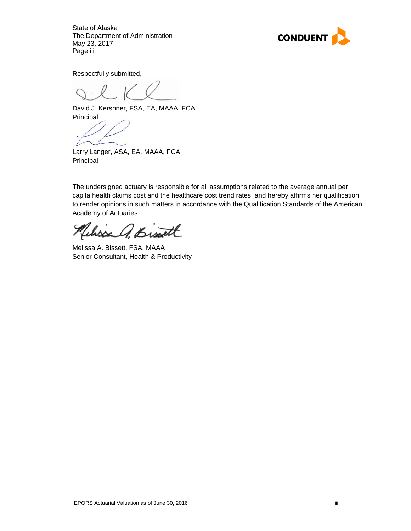State of Alaska The Department of Administration May 23, 2017 Page iii



Respectfully submitted,

David J. Kershner, FSA, EA, MAAA, FCA **Principal** 

Larry Langer, ASA, EA, MAAA, FCA Principal

The undersigned actuary is responsible for all assumptions related to the average annual per capita health claims cost and the healthcare cost trend rates, and hereby affirms her qualification to render opinions in such matters in accordance with the Qualification Standards of the American Academy of Actuaries.

Wisse A. Bist

Melissa A. Bissett, FSA, MAAA Senior Consultant, Health & Productivity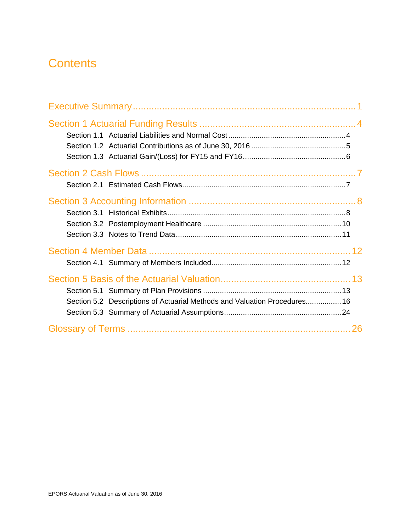# **Contents**

| Section 5.2 Descriptions of Actuarial Methods and Valuation Procedures 16 |    |
|---------------------------------------------------------------------------|----|
|                                                                           | 26 |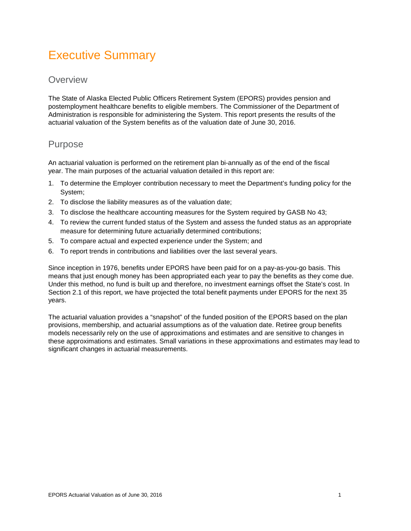# <span id="page-6-0"></span>Executive Summary

### **Overview**

The State of Alaska Elected Public Officers Retirement System (EPORS) provides pension and postemployment healthcare benefits to eligible members. The Commissioner of the Department of Administration is responsible for administering the System. This report presents the results of the actuarial valuation of the System benefits as of the valuation date of June 30, 2016.

### Purpose

An actuarial valuation is performed on the retirement plan bi-annually as of the end of the fiscal year. The main purposes of the actuarial valuation detailed in this report are:

- 1. To determine the Employer contribution necessary to meet the Department's funding policy for the System;
- 2. To disclose the liability measures as of the valuation date;
- 3. To disclose the healthcare accounting measures for the System required by GASB No 43;
- 4. To review the current funded status of the System and assess the funded status as an appropriate measure for determining future actuarially determined contributions;
- 5. To compare actual and expected experience under the System; and
- 6. To report trends in contributions and liabilities over the last several years.

Since inception in 1976, benefits under EPORS have been paid for on a pay-as-you-go basis. This means that just enough money has been appropriated each year to pay the benefits as they come due. Under this method, no fund is built up and therefore, no investment earnings offset the State's cost. In Section 2.1 of this report, we have projected the total benefit payments under EPORS for the next 35 years.

The actuarial valuation provides a "snapshot" of the funded position of the EPORS based on the plan provisions, membership, and actuarial assumptions as of the valuation date. Retiree group benefits models necessarily rely on the use of approximations and estimates and are sensitive to changes in these approximations and estimates. Small variations in these approximations and estimates may lead to significant changes in actuarial measurements.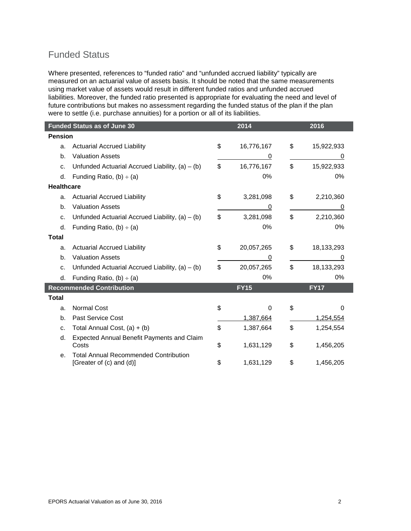### Funded Status

Where presented, references to "funded ratio" and "unfunded accrued liability" typically are measured on an actuarial value of assets basis. It should be noted that the same measurements using market value of assets would result in different funded ratios and unfunded accrued liabilities. Moreover, the funded ratio presented is appropriate for evaluating the need and level of future contributions but makes no assessment regarding the funded status of the plan if the plan were to settle (i.e. purchase annuities) for a portion or all of its liabilities.

|                   | <b>Funded Status as of June 30</b>                                       | 2014 | 2016        |                  |
|-------------------|--------------------------------------------------------------------------|------|-------------|------------------|
| <b>Pension</b>    |                                                                          |      |             |                  |
| a.                | <b>Actuarial Accrued Liability</b>                                       | \$   | 16,776,167  | \$<br>15,922,933 |
| b.                | <b>Valuation Assets</b>                                                  |      | 0           | 0                |
| c.                | Unfunded Actuarial Accrued Liability, $(a) - (b)$                        | \$   | 16,776,167  | \$<br>15,922,933 |
| d.                | Funding Ratio, $(b) \div (a)$                                            |      | 0%          | 0%               |
| <b>Healthcare</b> |                                                                          |      |             |                  |
| a.                | <b>Actuarial Accrued Liability</b>                                       | \$   | 3,281,098   | \$<br>2,210,360  |
| b.                | <b>Valuation Assets</b>                                                  |      | 0           | 0                |
| c.                | Unfunded Actuarial Accrued Liability, $(a) - (b)$                        | \$   | 3,281,098   | \$<br>2,210,360  |
| d.                | Funding Ratio, $(b) \div (a)$                                            |      | 0%          | 0%               |
| <b>Total</b>      |                                                                          |      |             |                  |
| a.                | <b>Actuarial Accrued Liability</b>                                       | \$   | 20,057,265  | \$<br>18,133,293 |
| b.                | <b>Valuation Assets</b>                                                  |      | 0           | 0                |
| C.                | Unfunded Actuarial Accrued Liability, $(a) - (b)$                        | \$   | 20,057,265  | \$<br>18,133,293 |
| d.                | Funding Ratio, $(b) \div (a)$                                            |      | $0\%$       | 0%               |
|                   | <b>Recommended Contribution</b>                                          |      | <b>FY15</b> | <b>FY17</b>      |
| <b>Total</b>      |                                                                          |      |             |                  |
| a.                | <b>Normal Cost</b>                                                       | \$   | 0           | \$<br>$\Omega$   |
| b.                | <b>Past Service Cost</b>                                                 |      | 1,387,664   | 1,254,554        |
| c.                | Total Annual Cost, $(a) + (b)$                                           | \$   | 1,387,664   | \$<br>1,254,554  |
| d.                | <b>Expected Annual Benefit Payments and Claim</b><br>Costs               | \$   | 1,631,129   | \$<br>1,456,205  |
| е.                | <b>Total Annual Recommended Contribution</b><br>[Greater of (c) and (d)] | \$   | 1,631,129   | \$<br>1,456,205  |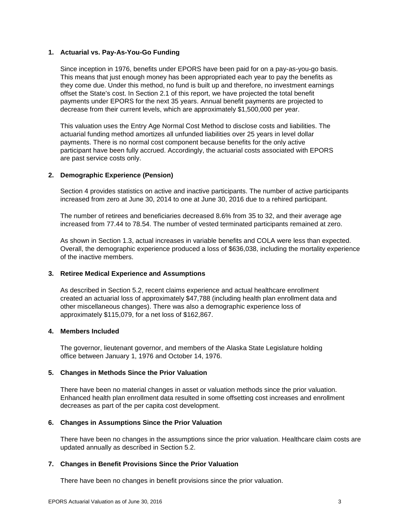### **1. Actuarial vs. Pay-As-You-Go Funding**

Since inception in 1976, benefits under EPORS have been paid for on a pay-as-you-go basis. This means that just enough money has been appropriated each year to pay the benefits as they come due. Under this method, no fund is built up and therefore, no investment earnings offset the State's cost. In Section 2.1 of this report, we have projected the total benefit payments under EPORS for the next 35 years. Annual benefit payments are projected to decrease from their current levels, which are approximately \$1,500,000 per year.

This valuation uses the Entry Age Normal Cost Method to disclose costs and liabilities. The actuarial funding method amortizes all unfunded liabilities over 25 years in level dollar payments. There is no normal cost component because benefits for the only active participant have been fully accrued. Accordingly, the actuarial costs associated with EPORS are past service costs only.

### **2. Demographic Experience (Pension)**

Section 4 provides statistics on active and inactive participants. The number of active participants increased from zero at June 30, 2014 to one at June 30, 2016 due to a rehired participant.

The number of retirees and beneficiaries decreased 8.6% from 35 to 32, and their average age increased from 77.44 to 78.54. The number of vested terminated participants remained at zero.

As shown in Section 1.3, actual increases in variable benefits and COLA were less than expected. Overall, the demographic experience produced a loss of \$636,038, including the mortality experience of the inactive members.

### **3. Retiree Medical Experience and Assumptions**

As described in Section 5.2, recent claims experience and actual healthcare enrollment created an actuarial loss of approximately \$47,788 (including health plan enrollment data and other miscellaneous changes). There was also a demographic experience loss of approximately \$115,079, for a net loss of \$162,867.

### **4. Members Included**

The governor, lieutenant governor, and members of the Alaska State Legislature holding office between January 1, 1976 and October 14, 1976.

### **5. Changes in Methods Since the Prior Valuation**

There have been no material changes in asset or valuation methods since the prior valuation. Enhanced health plan enrollment data resulted in some offsetting cost increases and enrollment decreases as part of the per capita cost development.

### **6. Changes in Assumptions Since the Prior Valuation**

There have been no changes in the assumptions since the prior valuation. Healthcare claim costs are updated annually as described in Section 5.2.

### **7. Changes in Benefit Provisions Since the Prior Valuation**

There have been no changes in benefit provisions since the prior valuation.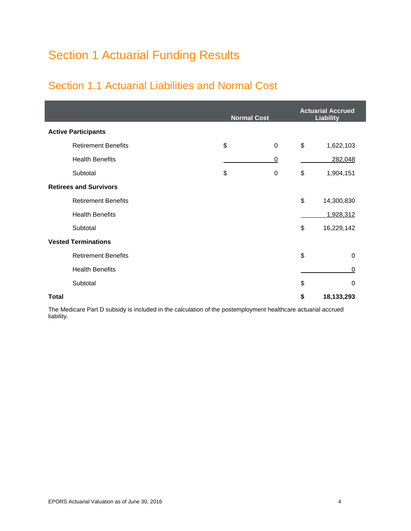# <span id="page-9-0"></span>Section 1 Actuarial Funding Results

### <span id="page-9-1"></span>Section 1.1 Actuarial Liabilities and Normal Cost

|                               | <b>Normal Cost</b> |                | <b>Actuarial Accrued</b><br><b>Liability</b> |
|-------------------------------|--------------------|----------------|----------------------------------------------|
| <b>Active Participants</b>    |                    |                |                                              |
| <b>Retirement Benefits</b>    | \$                 | 0              | \$<br>1,622,103                              |
| <b>Health Benefits</b>        |                    | $\overline{0}$ | 282,048                                      |
| Subtotal                      | \$                 | 0              | \$<br>1,904,151                              |
| <b>Retirees and Survivors</b> |                    |                |                                              |
| <b>Retirement Benefits</b>    |                    |                | \$<br>14,300,830                             |
| <b>Health Benefits</b>        |                    |                | 1,928,312                                    |
| Subtotal                      |                    |                | \$<br>16,229,142                             |
| <b>Vested Terminations</b>    |                    |                |                                              |
| <b>Retirement Benefits</b>    |                    |                | \$<br>0                                      |
| <b>Health Benefits</b>        |                    |                | 0                                            |
| Subtotal                      |                    |                | \$<br>$\mathbf 0$                            |
| <b>Total</b>                  |                    |                | \$<br>18,133,293                             |

The Medicare Part D subsidy is included in the calculation of the postemployment healthcare actuarial accrued liability.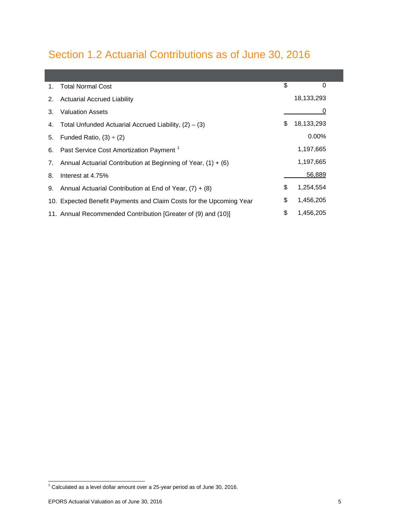# <span id="page-10-0"></span>Section 1.2 Actuarial Contributions as of June 30, 2016

| 1. | <b>Total Normal Cost</b>                                            | \$ | 0          |
|----|---------------------------------------------------------------------|----|------------|
| 2. | <b>Actuarial Accrued Liability</b>                                  |    | 18,133,293 |
| 3. | <b>Valuation Assets</b>                                             |    | 0          |
|    | 4. Total Unfunded Actuarial Accrued Liability, $(2) - (3)$          | S  | 18,133,293 |
| 5. | Funded Ratio, $(3) \div (2)$                                        |    | $0.00\%$   |
|    | 6. Past Service Cost Amortization Payment <sup>1</sup>              |    | 1,197,665  |
| 7. | Annual Actuarial Contribution at Beginning of Year, $(1) + (6)$     |    | 1,197,665  |
| 8. | Interest at 4.75%                                                   |    | 56,889     |
|    | 9. Annual Actuarial Contribution at End of Year, $(7) + (8)$        | \$ | 1,254,554  |
|    | 10. Expected Benefit Payments and Claim Costs for the Upcoming Year | \$ | 1,456,205  |
|    | 11. Annual Recommended Contribution [Greater of (9) and (10)]       | \$ | 1.456.205  |

<span id="page-10-1"></span> $1$  Calculated as a level dollar amount over a 25-year period as of June 30, 2016.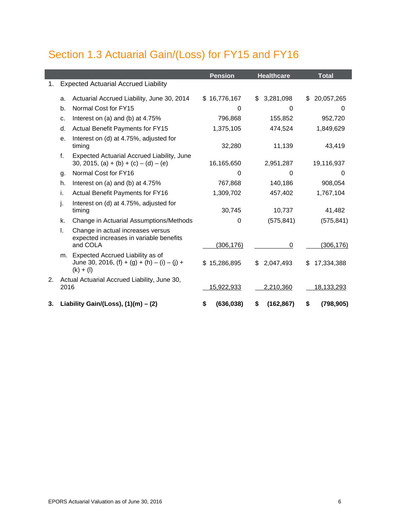# <span id="page-11-0"></span>Section 1.3 Actuarial Gain/(Loss) for FY15 and FY16

|    |      |                                                                                                   | <b>Pension</b>    | <b>Healthcare</b> | <b>Total</b>      |
|----|------|---------------------------------------------------------------------------------------------------|-------------------|-------------------|-------------------|
| 1. |      | <b>Expected Actuarial Accrued Liability</b>                                                       |                   |                   |                   |
|    | a.   | Actuarial Accrued Liability, June 30, 2014                                                        | \$16,776,167      | 3,281,098<br>\$   | \$20,057,265      |
|    | b.   | Normal Cost for FY15                                                                              | $\Omega$          | $\Omega$          | 0                 |
|    | c.   | Interest on (a) and (b) at 4.75%                                                                  | 796,868           | 155,852           | 952,720           |
|    | d.   | Actual Benefit Payments for FY15                                                                  | 1,375,105         | 474,524           | 1,849,629         |
|    | е.   | Interest on (d) at 4.75%, adjusted for<br>timing                                                  | 32,280            | 11,139            | 43,419            |
|    | f.   | Expected Actuarial Accrued Liability, June<br>30, 2015, (a) + (b) + (c) – (d) – (e)               | 16,165,650        | 2,951,287         | 19,116,937        |
|    | g.   | Normal Cost for FY16                                                                              | $\Omega$          | $\Omega$          | $\Omega$          |
|    | h.   | Interest on (a) and (b) at 4.75%                                                                  | 767,868           | 140,186           | 908,054           |
|    | i.   | Actual Benefit Payments for FY16                                                                  | 1,309,702         | 457,402           | 1,767,104         |
|    | j.   | Interest on (d) at 4.75%, adjusted for<br>timing                                                  | 30,745            | 10,737            | 41,482            |
|    | k.   | Change in Actuarial Assumptions/Methods                                                           | 0                 | (575, 841)        | (575, 841)        |
|    | L.   | Change in actual increases versus<br>expected increases in variable benefits<br>and COLA          | (306, 176)        | 0                 | (306, 176)        |
|    | m.   | Expected Accrued Liability as of<br>June 30, 2016, $(f) + (g) + (h) - (i) - (j) +$<br>$(k) + (l)$ | \$15,286,895      | 2,047,493<br>S.   | 17,334,388<br>S   |
| 2. | 2016 | Actual Actuarial Accrued Liability, June 30,                                                      | <u>15,922,933</u> | 2,210,360         | <u>18,133,293</u> |
| 3. |      | Liability Gain/(Loss), $(1)(m) - (2)$                                                             | (636, 038)<br>S   | (162, 867)<br>S   | (798, 905)<br>\$  |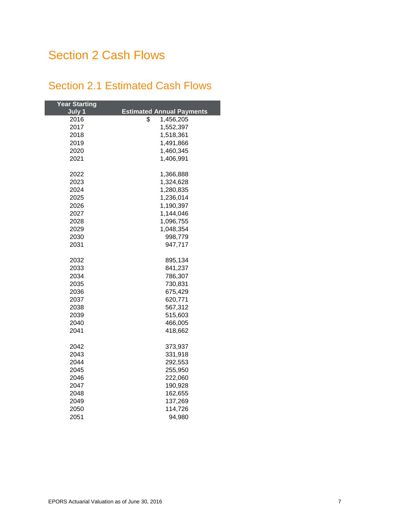# <span id="page-12-0"></span>Section 2 Cash Flows

### <span id="page-12-1"></span>Section 2.1 Estimated Cash Flows

| <b>Year Starting</b> |                                  |
|----------------------|----------------------------------|
| July 1               | <b>Estimated Annual Payments</b> |
| 2016                 | 1,456,205<br>\$                  |
| 2017                 | 1,552,397                        |
| 2018                 | 1,518,361                        |
| 2019                 | 1,491,866                        |
| 2020                 | 1,460,345                        |
| 2021                 | 1,406,991                        |
|                      |                                  |
| 2022                 | 1,366,888                        |
| 2023                 | 1,324,628                        |
| 2024                 | 1,280,835                        |
| 2025                 | 1,236,014                        |
| 2026                 | 1,190,397                        |
| 2027                 | 1,144,046                        |
| 2028                 | 1,096,755                        |
| 2029                 | 1,048,354                        |
| 2030                 | 998,779                          |
| 2031                 | 947,717                          |
|                      |                                  |
| 2032                 | 895,134                          |
| 2033                 | 841,237                          |
| 2034                 | 786,307                          |
| 2035                 | 730,831                          |
| 2036                 | 675,429                          |
| 2037                 | 620,771                          |
| 2038                 | 567,312                          |
| 2039                 | 515,603                          |
| 2040                 | 466,005                          |
| 2041                 | 418,662                          |
|                      |                                  |
| 2042                 | 373,937                          |
| 2043                 | 331,918                          |
| 2044                 | 292,553                          |
| 2045                 | 255,950                          |
| 2046                 | 222,060                          |
| 2047                 | 190,928                          |
| 2048                 | 162,655                          |
| 2049                 | 137,269                          |
| 2050                 | 114,726                          |
| 2051                 | 94,980                           |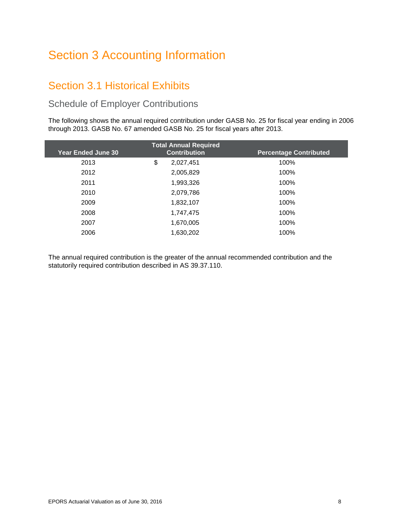# <span id="page-13-0"></span>Section 3 Accounting Information

### <span id="page-13-1"></span>Section 3.1 Historical Exhibits

### Schedule of Employer Contributions

The following shows the annual required contribution under GASB No. 25 for fiscal year ending in 2006 through 2013. GASB No. 67 amended GASB No. 25 for fiscal years after 2013.

|                           | <b>Total Annual Required</b> |                               |
|---------------------------|------------------------------|-------------------------------|
| <b>Year Ended June 30</b> | <b>Contribution</b>          | <b>Percentage Contributed</b> |
| 2013                      | \$<br>2,027,451              | 100%                          |
| 2012                      | 2,005,829                    | 100%                          |
| 2011                      | 1,993,326                    | 100%                          |
| 2010                      | 2,079,786                    | 100%                          |
| 2009                      | 1,832,107                    | 100%                          |
| 2008                      | 1,747,475                    | 100%                          |
| 2007                      | 1,670,005                    | 100%                          |
| 2006                      | 1,630,202                    | 100%                          |

The annual required contribution is the greater of the annual recommended contribution and the statutorily required contribution described in AS 39.37.110.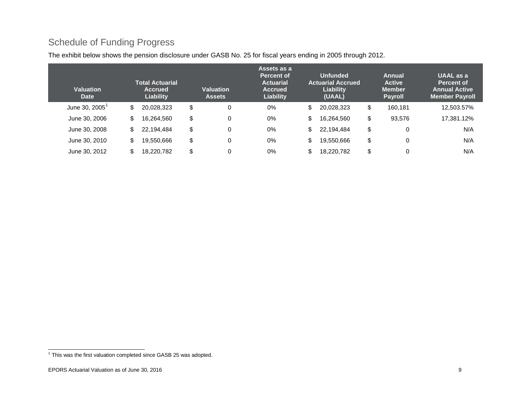### <span id="page-14-0"></span>Schedule of Funding Progress

| Valuation<br><b>Date</b>      |    | <b>Total Actuarial</b><br><b>Accrued</b><br>Liability | <b>Valuation</b><br><b>Assets</b> | Assets as a<br><b>Percent of</b><br><b>Actuarial</b><br><b>Accrued</b><br><b>Liability</b> | <b>Unfunded</b><br><b>Actuarial Accrued</b><br>Liability<br>(UAAL) | <b>Annual</b><br><b>Active</b><br><b>Member</b><br><b>Payroll</b> | UAAL as a<br>Percent of<br><b>Annual Active</b><br><b>Member Payroll</b> |
|-------------------------------|----|-------------------------------------------------------|-----------------------------------|--------------------------------------------------------------------------------------------|--------------------------------------------------------------------|-------------------------------------------------------------------|--------------------------------------------------------------------------|
| June 30, $2005^{\frac{1}{2}}$ | \$ | 20,028,323                                            | \$<br>0                           | 0%                                                                                         | \$<br>20,028,323                                                   | \$<br>160.181                                                     | 12,503.57%                                                               |
| June 30, 2006                 | \$ | 16,264,560                                            | \$<br>0                           | 0%                                                                                         | \$<br>16,264,560                                                   | \$<br>93,576                                                      | 17,381.12%                                                               |
| June 30, 2008                 | \$ | 22,194,484                                            | \$<br>0                           | $0\%$                                                                                      | \$<br>22,194,484                                                   | \$<br>0                                                           | N/A                                                                      |
| June 30, 2010                 | \$ | 19.550.666                                            | \$<br>0                           | 0%                                                                                         | \$<br>19,550,666                                                   | \$<br>O                                                           | N/A                                                                      |
| June 30, 2012                 | S  | 18.220.782                                            | \$<br>0                           | 0%                                                                                         | \$<br>18,220,782                                                   | \$<br>$\mathbf 0$                                                 | N/A                                                                      |

The exhibit below shows the pension disclosure under GASB No. 25 for fiscal years ending in 2005 through 2012.

 $<sup>1</sup>$  This was the first valuation completed since GASB 25 was adopted.</sup>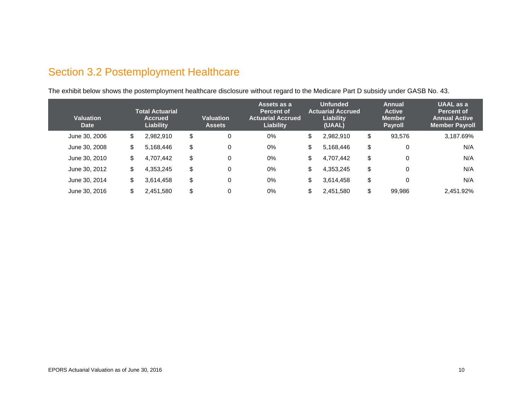# Section 3.2 Postemployment Healthcare

The exhibit below shows the postemployment healthcare disclosure without regard to the Medicare Part D subsidy under GASB No. 43.

<span id="page-15-0"></span>

| <b>Valuation</b><br><b>Date</b> | <b>Total Actuarial</b><br><b>Accrued</b><br>Liability | <b>Valuation</b><br><b>Assets</b> | Assets as a<br>Percent of<br><b>Actuarial Accrued</b><br>Liability | <b>Unfunded</b><br><b>Actuarial Accrued</b><br>Liability<br>(UAAL) | Annual<br><b>Active</b><br><b>Member</b><br><b>Payroll</b> | <b>UAAL</b> as a<br><b>Percent of</b><br><b>Annual Active</b><br><b>Member Payroll</b> |
|---------------------------------|-------------------------------------------------------|-----------------------------------|--------------------------------------------------------------------|--------------------------------------------------------------------|------------------------------------------------------------|----------------------------------------------------------------------------------------|
| June 30, 2006                   | \$<br>2,982,910                                       | \$<br>0                           | $0\%$                                                              | \$<br>2,982,910                                                    | \$<br>93,576                                               | 3,187.69%                                                                              |
| June 30, 2008                   | \$<br>5,168,446                                       | \$<br>$\mathbf 0$                 | 0%                                                                 | \$<br>5,168,446                                                    | \$<br>0                                                    | N/A                                                                                    |
| June 30, 2010                   | \$<br>4,707,442                                       | \$<br>0                           | 0%                                                                 | \$<br>4,707,442                                                    | \$<br>0                                                    | N/A                                                                                    |
| June 30, 2012                   | \$<br>4,353,245                                       | \$<br>$\mathbf 0$                 | $0\%$                                                              | \$<br>4,353,245                                                    | \$<br>0                                                    | N/A                                                                                    |
| June 30, 2014                   | \$<br>3,614,458                                       | \$<br>$\mathbf 0$                 | $0\%$                                                              | \$<br>3,614,458                                                    | \$<br>0                                                    | N/A                                                                                    |
| June 30, 2016                   | \$<br>2,451,580                                       | \$<br>0                           | $0\%$                                                              | \$<br>2,451,580                                                    | \$<br>99.986                                               | 2.451.92%                                                                              |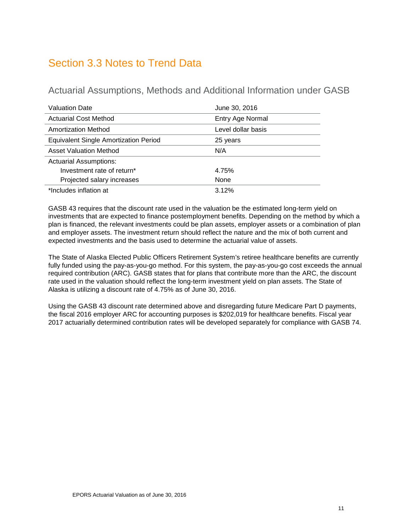### <span id="page-16-0"></span>Section 3.3 Notes to Trend Data

Actuarial Assumptions, Methods and Additional Information under GASB

| <b>Valuation Date</b>                        | June 30, 2016      |
|----------------------------------------------|--------------------|
| <b>Actuarial Cost Method</b>                 | Entry Age Normal   |
| <b>Amortization Method</b>                   | Level dollar basis |
| <b>Equivalent Single Amortization Period</b> | 25 years           |
| <b>Asset Valuation Method</b>                | N/A                |
| <b>Actuarial Assumptions:</b>                |                    |
| Investment rate of return*                   | 4.75%              |
| Projected salary increases                   | None               |
| *Includes inflation at                       | 3.12%              |

GASB 43 requires that the discount rate used in the valuation be the estimated long-term yield on investments that are expected to finance postemployment benefits. Depending on the method by which a plan is financed, the relevant investments could be plan assets, employer assets or a combination of plan and employer assets. The investment return should reflect the nature and the mix of both current and expected investments and the basis used to determine the actuarial value of assets.

The State of Alaska Elected Public Officers Retirement System's retiree healthcare benefits are currently fully funded using the pay-as-you-go method. For this system, the pay-as-you-go cost exceeds the annual required contribution (ARC). GASB states that for plans that contribute more than the ARC, the discount rate used in the valuation should reflect the long-term investment yield on plan assets. The State of Alaska is utilizing a discount rate of 4.75% as of June 30, 2016.

Using the GASB 43 discount rate determined above and disregarding future Medicare Part D payments, the fiscal 2016 employer ARC for accounting purposes is \$202,019 for healthcare benefits. Fiscal year 2017 actuarially determined contribution rates will be developed separately for compliance with GASB 74.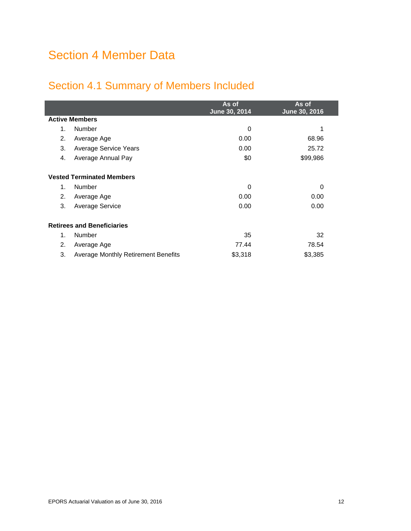# <span id="page-17-0"></span>Section 4 Member Data

## <span id="page-17-1"></span>Section 4.1 Summary of Members Included

|                                   |                                            | As of<br>June 30, 2014 | As of<br>June 30, 2016 |  |  |  |
|-----------------------------------|--------------------------------------------|------------------------|------------------------|--|--|--|
|                                   | <b>Active Members</b>                      |                        |                        |  |  |  |
| 1.                                | Number                                     | 0                      | 1                      |  |  |  |
| 2.                                | Average Age                                | 0.00                   | 68.96                  |  |  |  |
| 3.                                | <b>Average Service Years</b>               | 0.00                   | 25.72                  |  |  |  |
| 4.                                | Average Annual Pay                         | \$0                    | \$99,986               |  |  |  |
| <b>Vested Terminated Members</b>  |                                            |                        |                        |  |  |  |
| 1.                                | Number                                     | $\Omega$               | 0                      |  |  |  |
| 2.                                | Average Age                                | 0.00                   | 0.00                   |  |  |  |
| 3.                                | <b>Average Service</b>                     | 0.00                   | 0.00                   |  |  |  |
| <b>Retirees and Beneficiaries</b> |                                            |                        |                        |  |  |  |
| $\mathbf{1}$ .                    | Number                                     | 35                     | 32                     |  |  |  |
| 2.                                | Average Age                                | 77.44                  | 78.54                  |  |  |  |
| 3.                                | <b>Average Monthly Retirement Benefits</b> | \$3,318                | \$3,385                |  |  |  |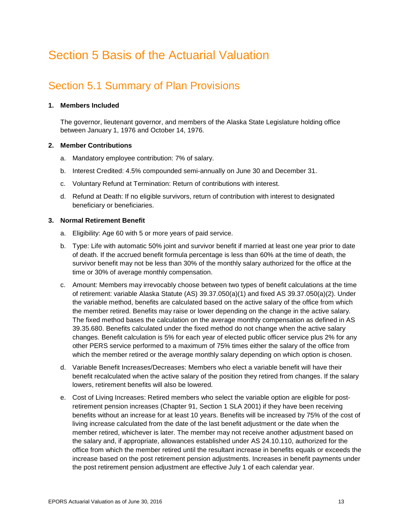# <span id="page-18-0"></span>Section 5 Basis of the Actuarial Valuation

### <span id="page-18-1"></span>Section 5.1 Summary of Plan Provisions

### **1. Members Included**

The governor, lieutenant governor, and members of the Alaska State Legislature holding office between January 1, 1976 and October 14, 1976.

### **2. Member Contributions**

- a. Mandatory employee contribution: 7% of salary.
- b. Interest Credited: 4.5% compounded semi-annually on June 30 and December 31.
- c. Voluntary Refund at Termination: Return of contributions with interest.
- d. Refund at Death: If no eligible survivors, return of contribution with interest to designated beneficiary or beneficiaries.

### **3. Normal Retirement Benefit**

- a. Eligibility: Age 60 with 5 or more years of paid service.
- b. Type: Life with automatic 50% joint and survivor benefit if married at least one year prior to date of death. If the accrued benefit formula percentage is less than 60% at the time of death, the survivor benefit may not be less than 30% of the monthly salary authorized for the office at the time or 30% of average monthly compensation.
- c. Amount: Members may irrevocably choose between two types of benefit calculations at the time of retirement: variable Alaska Statute (AS) 39.37.050(a)(1) and fixed AS 39.37.050(a)(2). Under the variable method, benefits are calculated based on the active salary of the office from which the member retired. Benefits may raise or lower depending on the change in the active salary. The fixed method bases the calculation on the average monthly compensation as defined in AS 39.35.680. Benefits calculated under the fixed method do not change when the active salary changes. Benefit calculation is 5% for each year of elected public officer service plus 2% for any other PERS service performed to a maximum of 75% times either the salary of the office from which the member retired or the average monthly salary depending on which option is chosen.
- d. Variable Benefit Increases/Decreases: Members who elect a variable benefit will have their benefit recalculated when the active salary of the position they retired from changes. If the salary lowers, retirement benefits will also be lowered.
- e. Cost of Living Increases: Retired members who select the variable option are eligible for postretirement pension increases (Chapter 91, Section 1 SLA 2001) if they have been receiving benefits without an increase for at least 10 years. Benefits will be increased by 75% of the cost of living increase calculated from the date of the last benefit adjustment or the date when the member retired, whichever is later. The member may not receive another adjustment based on the salary and, if appropriate, allowances established under AS 24.10.110, authorized for the office from which the member retired until the resultant increase in benefits equals or exceeds the increase based on the post retirement pension adjustments. Increases in benefit payments under the post retirement pension adjustment are effective July 1 of each calendar year.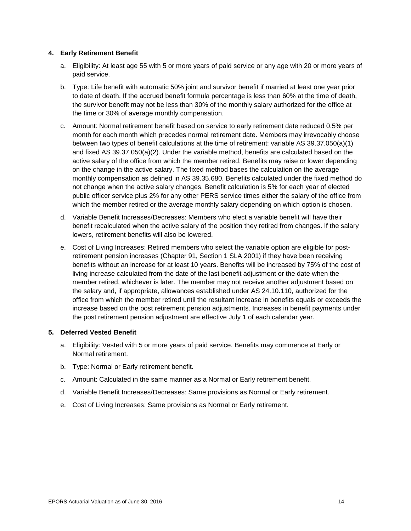### **4. Early Retirement Benefit**

- a. Eligibility: At least age 55 with 5 or more years of paid service or any age with 20 or more years of paid service.
- b. Type: Life benefit with automatic 50% joint and survivor benefit if married at least one year prior to date of death. If the accrued benefit formula percentage is less than 60% at the time of death, the survivor benefit may not be less than 30% of the monthly salary authorized for the office at the time or 30% of average monthly compensation.
- c. Amount: Normal retirement benefit based on service to early retirement date reduced 0.5% per month for each month which precedes normal retirement date. Members may irrevocably choose between two types of benefit calculations at the time of retirement: variable AS 39.37.050(a)(1) and fixed AS 39.37.050(a)(2). Under the variable method, benefits are calculated based on the active salary of the office from which the member retired. Benefits may raise or lower depending on the change in the active salary. The fixed method bases the calculation on the average monthly compensation as defined in AS 39.35.680. Benefits calculated under the fixed method do not change when the active salary changes. Benefit calculation is 5% for each year of elected public officer service plus 2% for any other PERS service times either the salary of the office from which the member retired or the average monthly salary depending on which option is chosen.
- d. Variable Benefit Increases/Decreases: Members who elect a variable benefit will have their benefit recalculated when the active salary of the position they retired from changes. If the salary lowers, retirement benefits will also be lowered.
- e. Cost of Living Increases: Retired members who select the variable option are eligible for postretirement pension increases (Chapter 91, Section 1 SLA 2001) if they have been receiving benefits without an increase for at least 10 years. Benefits will be increased by 75% of the cost of living increase calculated from the date of the last benefit adjustment or the date when the member retired, whichever is later. The member may not receive another adjustment based on the salary and, if appropriate, allowances established under AS 24.10.110, authorized for the office from which the member retired until the resultant increase in benefits equals or exceeds the increase based on the post retirement pension adjustments. Increases in benefit payments under the post retirement pension adjustment are effective July 1 of each calendar year.

### **5. Deferred Vested Benefit**

- a. Eligibility: Vested with 5 or more years of paid service. Benefits may commence at Early or Normal retirement.
- b. Type: Normal or Early retirement benefit.
- c. Amount: Calculated in the same manner as a Normal or Early retirement benefit.
- d. Variable Benefit Increases/Decreases: Same provisions as Normal or Early retirement.
- e. Cost of Living Increases: Same provisions as Normal or Early retirement.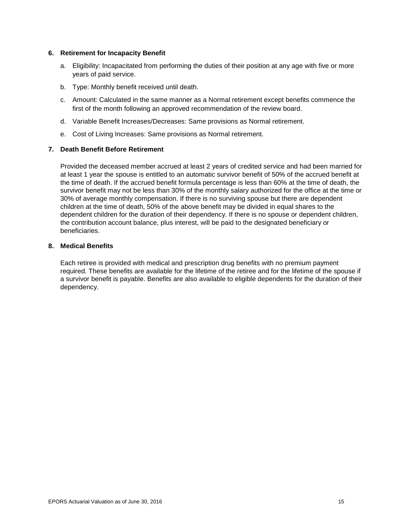#### **6. Retirement for Incapacity Benefit**

- a. Eligibility: Incapacitated from performing the duties of their position at any age with five or more years of paid service.
- b. Type: Monthly benefit received until death.
- c. Amount: Calculated in the same manner as a Normal retirement except benefits commence the first of the month following an approved recommendation of the review board.
- d. Variable Benefit Increases/Decreases: Same provisions as Normal retirement.
- e. Cost of Living Increases: Same provisions as Normal retirement.

#### **7. Death Benefit Before Retirement**

Provided the deceased member accrued at least 2 years of credited service and had been married for at least 1 year the spouse is entitled to an automatic survivor benefit of 50% of the accrued benefit at the time of death. If the accrued benefit formula percentage is less than 60% at the time of death, the survivor benefit may not be less than 30% of the monthly salary authorized for the office at the time or 30% of average monthly compensation. If there is no surviving spouse but there are dependent children at the time of death, 50% of the above benefit may be divided in equal shares to the dependent children for the duration of their dependency. If there is no spouse or dependent children, the contribution account balance, plus interest, will be paid to the designated beneficiary or beneficiaries.

#### **8. Medical Benefits**

Each retiree is provided with medical and prescription drug benefits with no premium payment required. These benefits are available for the lifetime of the retiree and for the lifetime of the spouse if a survivor benefit is payable. Benefits are also available to eligible dependents for the duration of their dependency.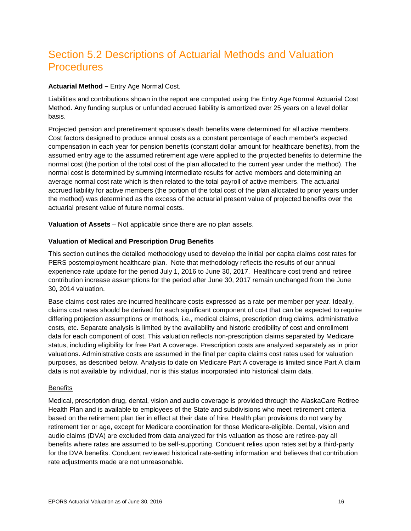### <span id="page-21-0"></span>Section 5.2 Descriptions of Actuarial Methods and Valuation **Procedures**

### **Actuarial Method –** Entry Age Normal Cost.

Liabilities and contributions shown in the report are computed using the Entry Age Normal Actuarial Cost Method. Any funding surplus or unfunded accrued liability is amortized over 25 years on a level dollar basis.

Projected pension and preretirement spouse's death benefits were determined for all active members. Cost factors designed to produce annual costs as a constant percentage of each member's expected compensation in each year for pension benefits (constant dollar amount for healthcare benefits), from the assumed entry age to the assumed retirement age were applied to the projected benefits to determine the normal cost (the portion of the total cost of the plan allocated to the current year under the method). The normal cost is determined by summing intermediate results for active members and determining an average normal cost rate which is then related to the total payroll of active members. The actuarial accrued liability for active members (the portion of the total cost of the plan allocated to prior years under the method) was determined as the excess of the actuarial present value of projected benefits over the actuarial present value of future normal costs.

**Valuation of Assets** – Not applicable since there are no plan assets.

### **Valuation of Medical and Prescription Drug Benefits**

This section outlines the detailed methodology used to develop the initial per capita claims cost rates for PERS postemployment healthcare plan. Note that methodology reflects the results of our annual experience rate update for the period July 1, 2016 to June 30, 2017. Healthcare cost trend and retiree contribution increase assumptions for the period after June 30, 2017 remain unchanged from the June 30, 2014 valuation.

Base claims cost rates are incurred healthcare costs expressed as a rate per member per year. Ideally, claims cost rates should be derived for each significant component of cost that can be expected to require differing projection assumptions or methods, i.e., medical claims, prescription drug claims, administrative costs, etc. Separate analysis is limited by the availability and historic credibility of cost and enrollment data for each component of cost. This valuation reflects non-prescription claims separated by Medicare status, including eligibility for free Part A coverage. Prescription costs are analyzed separately as in prior valuations. Administrative costs are assumed in the final per capita claims cost rates used for valuation purposes, as described below. Analysis to date on Medicare Part A coverage is limited since Part A claim data is not available by individual, nor is this status incorporated into historical claim data.

### **Benefits**

Medical, prescription drug, dental, vision and audio coverage is provided through the AlaskaCare Retiree Health Plan and is available to employees of the State and subdivisions who meet retirement criteria based on the retirement plan tier in effect at their date of hire. Health plan provisions do not vary by retirement tier or age, except for Medicare coordination for those Medicare-eligible. Dental, vision and audio claims (DVA) are excluded from data analyzed for this valuation as those are retiree-pay all benefits where rates are assumed to be self-supporting. Conduent relies upon rates set by a third-party for the DVA benefits. Conduent reviewed historical rate-setting information and believes that contribution rate adjustments made are not unreasonable.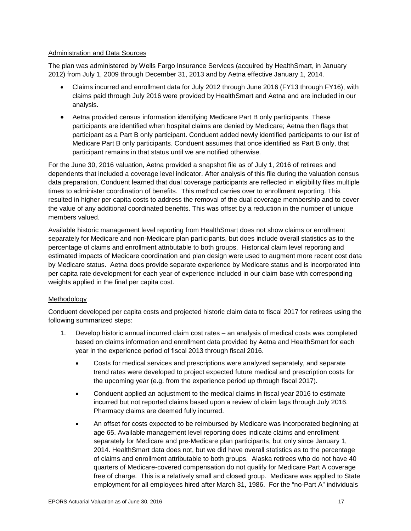### Administration and Data Sources

The plan was administered by Wells Fargo Insurance Services (acquired by HealthSmart, in January 2012) from July 1, 2009 through December 31, 2013 and by Aetna effective January 1, 2014.

- Claims incurred and enrollment data for July 2012 through June 2016 (FY13 through FY16), with claims paid through July 2016 were provided by HealthSmart and Aetna and are included in our analysis.
- Aetna provided census information identifying Medicare Part B only participants. These participants are identified when hospital claims are denied by Medicare; Aetna then flags that participant as a Part B only participant. Conduent added newly identified participants to our list of Medicare Part B only participants. Conduent assumes that once identified as Part B only, that participant remains in that status until we are notified otherwise.

For the June 30, 2016 valuation, Aetna provided a snapshot file as of July 1, 2016 of retirees and dependents that included a coverage level indicator. After analysis of this file during the valuation census data preparation, Conduent learned that dual coverage participants are reflected in eligibility files multiple times to administer coordination of benefits. This method carries over to enrollment reporting. This resulted in higher per capita costs to address the removal of the dual coverage membership and to cover the value of any additional coordinated benefits. This was offset by a reduction in the number of unique members valued.

Available historic management level reporting from HealthSmart does not show claims or enrollment separately for Medicare and non-Medicare plan participants, but does include overall statistics as to the percentage of claims and enrollment attributable to both groups. Historical claim level reporting and estimated impacts of Medicare coordination and plan design were used to augment more recent cost data by Medicare status. Aetna does provide separate experience by Medicare status and is incorporated into per capita rate development for each year of experience included in our claim base with corresponding weights applied in the final per capita cost.

### Methodology

Conduent developed per capita costs and projected historic claim data to fiscal 2017 for retirees using the following summarized steps:

- 1. Develop historic annual incurred claim cost rates an analysis of medical costs was completed based on claims information and enrollment data provided by Aetna and HealthSmart for each year in the experience period of fiscal 2013 through fiscal 2016.
	- Costs for medical services and prescriptions were analyzed separately, and separate trend rates were developed to project expected future medical and prescription costs for the upcoming year (e.g. from the experience period up through fiscal 2017).
	- Conduent applied an adjustment to the medical claims in fiscal year 2016 to estimate incurred but not reported claims based upon a review of claim lags through July 2016. Pharmacy claims are deemed fully incurred.
	- An offset for costs expected to be reimbursed by Medicare was incorporated beginning at age 65. Available management level reporting does indicate claims and enrollment separately for Medicare and pre-Medicare plan participants, but only since January 1, 2014. HealthSmart data does not, but we did have overall statistics as to the percentage of claims and enrollment attributable to both groups. Alaska retirees who do not have 40 quarters of Medicare-covered compensation do not qualify for Medicare Part A coverage free of charge. This is a relatively small and closed group. Medicare was applied to State employment for all employees hired after March 31, 1986. For the "no-Part A" individuals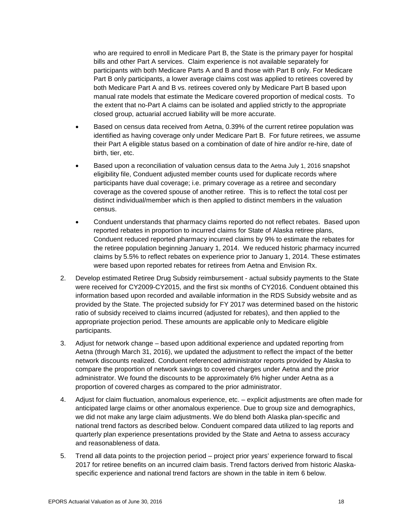who are required to enroll in Medicare Part B, the State is the primary payer for hospital bills and other Part A services. Claim experience is not available separately for participants with both Medicare Parts A and B and those with Part B only. For Medicare Part B only participants, a lower average claims cost was applied to retirees covered by both Medicare Part A and B vs. retirees covered only by Medicare Part B based upon manual rate models that estimate the Medicare covered proportion of medical costs. To the extent that no-Part A claims can be isolated and applied strictly to the appropriate closed group, actuarial accrued liability will be more accurate.

- Based on census data received from Aetna, 0.39% of the current retiree population was identified as having coverage only under Medicare Part B. For future retirees, we assume their Part A eligible status based on a combination of date of hire and/or re-hire, date of birth, tier, etc.
- Based upon a reconciliation of valuation census data to the Aetna July 1, 2016 snapshot eligibility file, Conduent adjusted member counts used for duplicate records where participants have dual coverage; i.e. primary coverage as a retiree and secondary coverage as the covered spouse of another retiree. This is to reflect the total cost per distinct individual/member which is then applied to distinct members in the valuation census.
- Conduent understands that pharmacy claims reported do not reflect rebates. Based upon reported rebates in proportion to incurred claims for State of Alaska retiree plans, Conduent reduced reported pharmacy incurred claims by 9% to estimate the rebates for the retiree population beginning January 1, 2014. We reduced historic pharmacy incurred claims by 5.5% to reflect rebates on experience prior to January 1, 2014. These estimates were based upon reported rebates for retirees from Aetna and Envision Rx.
- 2. Develop estimated Retiree Drug Subsidy reimbursement actual subsidy payments to the State were received for CY2009-CY2015, and the first six months of CY2016. Conduent obtained this information based upon recorded and available information in the RDS Subsidy website and as provided by the State. The projected subsidy for FY 2017 was determined based on the historic ratio of subsidy received to claims incurred (adjusted for rebates), and then applied to the appropriate projection period. These amounts are applicable only to Medicare eligible participants.
- 3. Adjust for network change based upon additional experience and updated reporting from Aetna (through March 31, 2016), we updated the adjustment to reflect the impact of the better network discounts realized. Conduent referenced administrator reports provided by Alaska to compare the proportion of network savings to covered charges under Aetna and the prior administrator. We found the discounts to be approximately 6% higher under Aetna as a proportion of covered charges as compared to the prior administrator.
- 4. Adjust for claim fluctuation, anomalous experience, etc. explicit adjustments are often made for anticipated large claims or other anomalous experience. Due to group size and demographics, we did not make any large claim adjustments. We do blend both Alaska plan-specific and national trend factors as described below. Conduent compared data utilized to lag reports and quarterly plan experience presentations provided by the State and Aetna to assess accuracy and reasonableness of data.
- 5. Trend all data points to the projection period project prior years' experience forward to fiscal 2017 for retiree benefits on an incurred claim basis. Trend factors derived from historic Alaskaspecific experience and national trend factors are shown in the table in item 6 below.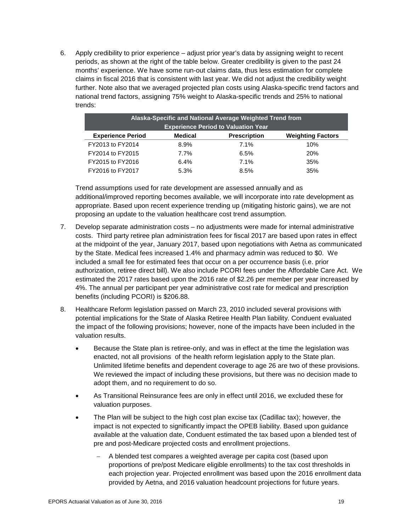6. Apply credibility to prior experience – adjust prior year's data by assigning weight to recent periods, as shown at the right of the table below. Greater credibility is given to the past 24 months' experience. We have some run-out claims data, thus less estimation for complete claims in fiscal 2016 that is consistent with last year. We did not adjust the credibility weight further. Note also that we averaged projected plan costs using Alaska-specific trend factors and national trend factors, assigning 75% weight to Alaska-specific trends and 25% to national trends:

| Alaska-Specific and National Average Weighted Trend from |                |                     |                          |  |  |  |  |
|----------------------------------------------------------|----------------|---------------------|--------------------------|--|--|--|--|
| <b>Experience Period to Valuation Year</b>               |                |                     |                          |  |  |  |  |
| <b>Experience Period</b>                                 | <b>Medical</b> | <b>Prescription</b> | <b>Weighting Factors</b> |  |  |  |  |
| FY2013 to FY2014                                         | 8.9%           | 7.1%                | 10%                      |  |  |  |  |
| FY2014 to FY2015                                         | 7.7%           | 6.5%                | <b>20%</b>               |  |  |  |  |
| FY2015 to FY2016                                         | 6.4%           | 7.1%                | 35%                      |  |  |  |  |
| FY2016 to FY2017                                         | 5.3%           | 8.5%                | 35%                      |  |  |  |  |

Trend assumptions used for rate development are assessed annually and as additional/improved reporting becomes available, we will incorporate into rate development as appropriate. Based upon recent experience trending up (mitigating historic gains), we are not proposing an update to the valuation healthcare cost trend assumption.

- 7. Develop separate administration costs no adjustments were made for internal administrative costs. Third party retiree plan administration fees for fiscal 2017 are based upon rates in effect at the midpoint of the year, January 2017, based upon negotiations with Aetna as communicated by the State. Medical fees increased 1.4% and pharmacy admin was reduced to \$0. We included a small fee for estimated fees that occur on a per occurrence basis (i.e. prior authorization, retiree direct bill). We also include PCORI fees under the Affordable Care Act. We estimated the 2017 rates based upon the 2016 rate of \$2.26 per member per year increased by 4%. The annual per participant per year administrative cost rate for medical and prescription benefits (including PCORI) is \$206.88.
- 8. Healthcare Reform legislation passed on March 23, 2010 included several provisions with potential implications for the State of Alaska Retiree Health Plan liability. Conduent evaluated the impact of the following provisions; however, none of the impacts have been included in the valuation results.
	- Because the State plan is retiree-only, and was in effect at the time the legislation was enacted, not all provisions of the health reform legislation apply to the State plan. Unlimited lifetime benefits and dependent coverage to age 26 are two of these provisions. We reviewed the impact of including these provisions, but there was no decision made to adopt them, and no requirement to do so.
	- As Transitional Reinsurance fees are only in effect until 2016, we excluded these for valuation purposes.
	- The Plan will be subject to the high cost plan excise tax (Cadillac tax); however, the impact is not expected to significantly impact the OPEB liability. Based upon guidance available at the valuation date, Conduent estimated the tax based upon a blended test of pre and post-Medicare projected costs and enrollment projections.
		- − A blended test compares a weighted average per capita cost (based upon proportions of pre/post Medicare eligible enrollments) to the tax cost thresholds in each projection year. Projected enrollment was based upon the 2016 enrollment data provided by Aetna, and 2016 valuation headcount projections for future years.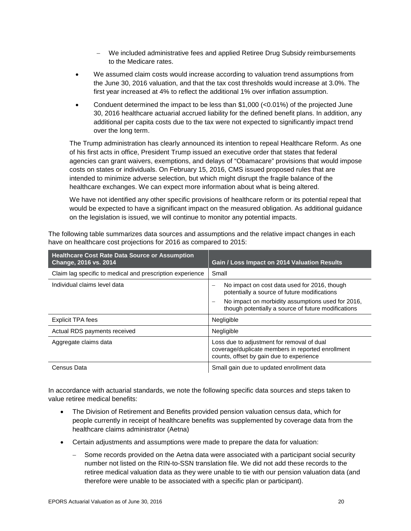- − We included administrative fees and applied Retiree Drug Subsidy reimbursements to the Medicare rates.
- We assumed claim costs would increase according to valuation trend assumptions from the June 30, 2016 valuation, and that the tax cost thresholds would increase at 3.0%. The first year increased at 4% to reflect the additional 1% over inflation assumption.
- Conduent determined the impact to be less than  $$1,000$  (<0.01%) of the projected June 30, 2016 healthcare actuarial accrued liability for the defined benefit plans. In addition, any additional per capita costs due to the tax were not expected to significantly impact trend over the long term.

The Trump administration has clearly announced its intention to repeal Healthcare Reform. As one of his first acts in office, President Trump issued an executive order that states that federal agencies can grant waivers, exemptions, and delays of "Obamacare" provisions that would impose costs on states or individuals. On February 15, 2016, CMS issued proposed rules that are intended to minimize adverse selection, but which might disrupt the fragile balance of the healthcare exchanges. We can expect more information about what is being altered.

We have not identified any other specific provisions of healthcare reform or its potential repeal that would be expected to have a significant impact on the measured obligation. As additional guidance on the legislation is issued, we will continue to monitor any potential impacts.

The following table summarizes data sources and assumptions and the relative impact changes in each have on healthcare cost projections for 2016 as compared to 2015:

| <b>Healthcare Cost Rate Data Source or Assumption</b><br>Change, 2016 vs. 2014 | Gain / Loss Impact on 2014 Valuation Results                                                                                                |
|--------------------------------------------------------------------------------|---------------------------------------------------------------------------------------------------------------------------------------------|
| Claim lag specific to medical and prescription experience                      | Small                                                                                                                                       |
| Individual claims level data                                                   | No impact on cost data used for 2016, though<br>potentially a source of future modifications                                                |
|                                                                                | No impact on morbidity assumptions used for 2016,<br>though potentially a source of future modifications                                    |
| Explicit TPA fees                                                              | Negligible                                                                                                                                  |
| Actual RDS payments received                                                   | Negligible                                                                                                                                  |
| Aggregate claims data                                                          | Loss due to adjustment for removal of dual<br>coverage/duplicate members in reported enrollment<br>counts, offset by gain due to experience |
| Census Data                                                                    | Small gain due to updated enrollment data                                                                                                   |

In accordance with actuarial standards, we note the following specific data sources and steps taken to value retiree medical benefits:

- The Division of Retirement and Benefits provided pension valuation census data, which for people currently in receipt of healthcare benefits was supplemented by coverage data from the healthcare claims administrator (Aetna)
- Certain adjustments and assumptions were made to prepare the data for valuation:
	- − Some records provided on the Aetna data were associated with a participant social security number not listed on the RIN-to-SSN translation file. We did not add these records to the retiree medical valuation data as they were unable to tie with our pension valuation data (and therefore were unable to be associated with a specific plan or participant).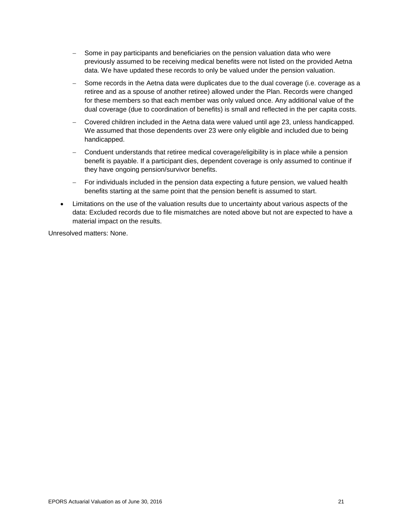- − Some in pay participants and beneficiaries on the pension valuation data who were previously assumed to be receiving medical benefits were not listed on the provided Aetna data. We have updated these records to only be valued under the pension valuation.
- − Some records in the Aetna data were duplicates due to the dual coverage (i.e. coverage as a retiree and as a spouse of another retiree) allowed under the Plan. Records were changed for these members so that each member was only valued once. Any additional value of the dual coverage (due to coordination of benefits) is small and reflected in the per capita costs.
- − Covered children included in the Aetna data were valued until age 23, unless handicapped. We assumed that those dependents over 23 were only eligible and included due to being handicapped.
- − Conduent understands that retiree medical coverage/eligibility is in place while a pension benefit is payable. If a participant dies, dependent coverage is only assumed to continue if they have ongoing pension/survivor benefits.
- − For individuals included in the pension data expecting a future pension, we valued health benefits starting at the same point that the pension benefit is assumed to start.
- Limitations on the use of the valuation results due to uncertainty about various aspects of the data: Excluded records due to file mismatches are noted above but not are expected to have a material impact on the results.

Unresolved matters: None.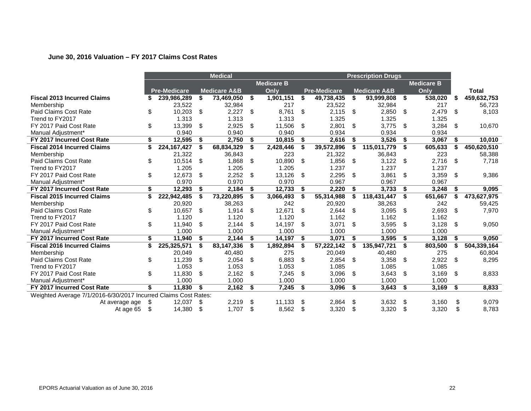### **June 30, 2016 Valuation – FY 2017 Claims Cost Rates**

|                                                                 | <b>Medical</b> |                     |                   |                         | <b>Prescription Drugs</b> |                   |    |                     |     |                         |      |         |    |              |
|-----------------------------------------------------------------|----------------|---------------------|-------------------|-------------------------|---------------------------|-------------------|----|---------------------|-----|-------------------------|------|---------|----|--------------|
|                                                                 |                |                     | <b>Medicare B</b> |                         |                           | <b>Medicare B</b> |    |                     |     |                         |      |         |    |              |
|                                                                 |                | <b>Pre-Medicare</b> |                   | <b>Medicare A&amp;B</b> |                           | Only              |    | <b>Pre-Medicare</b> |     | <b>Medicare A&amp;B</b> |      | Only    |    | <b>Total</b> |
| <b>Fiscal 2013 Incurred Claims</b>                              | S              | 239,986,289         | \$                | 73,469,050              | \$                        | 1,901,151         | \$ | 49,738,435          | \$  | 93,999,808              | - \$ | 538,020 | \$ | 459,632,753  |
| Membership                                                      |                | 23,522              |                   | 32,984                  |                           | 217               |    | 23,522              |     | 32,984                  |      | 217     |    | 56,723       |
| <b>Paid Claims Cost Rate</b>                                    | \$             | 10,203              | \$                | 2,227                   | \$                        | 8,761             | \$ | 2,115               | \$  | 2,850                   | - \$ | 2,479   | \$ | 8,103        |
| Trend to FY2017                                                 |                | 1.313               |                   | 1.313                   |                           | 1.313             |    | 1.325               |     | 1.325                   |      | 1.325   |    |              |
| FY 2017 Paid Cost Rate                                          | \$             | 13,399              | \$                | 2,925                   | \$                        | 11,506            | \$ | 2,801               | \$  | 3,775                   | -\$  | 3,284   | \$ | 10,670       |
| Manual Adjustment*                                              |                | 0.940               |                   | 0.940                   |                           | 0.940             |    | 0.934               |     | 0.934                   |      | 0.934   |    |              |
| FY 2017 Incurred Cost Rate                                      | \$             | 12,595              | \$                | 2,750                   | \$                        | 10,815            | S. | 2,616               | \$  | 3,526                   | - \$ | 3,067   | \$ | 10,010       |
| <b>Fiscal 2014 Incurred Claims</b>                              | \$             | 224, 167, 427       | \$                | 68,834,329              | \$                        | 2,428,446         | \$ | 39,572,896          | \$  | 115,011,779             | -\$  | 605,633 | \$ | 450,620,510  |
| Membership                                                      |                | 21,322              |                   | 36,843                  |                           | 223               |    | 21,322              |     | 36,843                  |      | 223     |    | 58,388       |
| Paid Claims Cost Rate                                           | \$             | 10,514              | \$                | 1,868                   | \$                        | 10,890            | \$ | 1,856               | \$  | 3,122                   | -\$  | 2,716   | \$ | 7,718        |
| Trend to FY2017                                                 |                | 1.205               |                   | 1.205                   |                           | 1.205             |    | 1.237               |     | 1.237                   |      | 1.237   |    |              |
| FY 2017 Paid Cost Rate                                          | \$             | 12,673              | \$                | 2,252                   | \$                        | 13,126            | \$ | 2,295               | \$  | 3,861                   | \$   | 3,359   | \$ | 9,386        |
| Manual Adjustment*                                              |                | 0.970               |                   | 0.970                   |                           | 0.970             |    | 0.967               |     | 0.967                   |      | 0.967   |    |              |
| FY 2017 Incurred Cost Rate                                      | \$             | 12,293              | \$                | 2,184                   | \$                        | 12,733            | S. | 2,220               | \$  | 3,733                   | - \$ | 3,248   | \$ | 9,095        |
| <b>Fiscal 2015 Incurred Claims</b>                              | \$             | 222,942,485         | \$                | 73,220,895              | \$                        | 3,066,493         | \$ | 55,314,988          | \$  | 118,431,447             | -\$  | 651,667 | \$ | 473,627,975  |
| Membership                                                      |                | 20,920              |                   | 38,263                  |                           | 242               |    | 20,920              |     | 38,263                  |      | 242     |    | 59,425       |
| Paid Claims Cost Rate                                           | \$             | 10,657              | \$                | 1,914                   | \$                        | 12,671            | \$ | 2,644               | -\$ | 3,095                   | -\$  | 2,693   | \$ | 7,970        |
| Trend to FY2017                                                 |                | 1.120               |                   | 1.120                   |                           | 1.120             |    | 1.162               |     | 1.162                   |      | 1.162   |    |              |
| FY 2017 Paid Cost Rate                                          | \$             | 11,940              | \$                | 2,144                   | \$                        | 14,197            | \$ | 3,071               | \$  | 3,595                   | -\$  | 3,128   | \$ | 9,050        |
| Manual Adjustment*                                              |                | 1.000               |                   | 1.000                   |                           | 1.000             |    | 1.000               |     | 1.000                   |      | 1.000   |    |              |
| FY 2017 Incurred Cost Rate                                      | \$             | 11,940              | \$                | 2,144                   | \$                        | 14,197            | \$ | 3,071               | \$  | 3,595                   | - \$ | 3,128   | \$ | 9,050        |
| <b>Fiscal 2016 Incurred Claims</b>                              | \$             | 225,325,571         | \$                | 83,147,336              | \$                        | 1,892,894         | \$ | 57,222,142          | \$  | 135,947,721             | -\$  | 803,500 | \$ | 504,339,164  |
| Membership                                                      |                | 20,049              |                   | 40,480                  |                           | 275               |    | 20,049              |     | 40,480                  |      | 275     |    | 60,804       |
| Paid Claims Cost Rate                                           | \$             | 11,239              | \$                | 2,054                   | \$                        | 6,883             | \$ | 2,854               | \$  | 3,358                   | \$   | 2,922   | \$ | 8,295        |
| Trend to FY2017                                                 |                | 1.053               |                   | 1.053                   |                           | 1.053             |    | 1.085               |     | 1.085                   |      | 1.085   |    |              |
| FY 2017 Paid Cost Rate                                          | \$             | 11,830              | \$                | 2,162                   | \$                        | 7,245             | \$ | 3,096               | \$  | 3,643                   | - \$ | 3,169   | \$ | 8,833        |
| Manual Adjustment*                                              |                | 1.000               |                   | 1.000                   |                           | 1.000             |    | 1.000               |     | 1.000                   |      | 1.000   |    |              |
| FY 2017 Incurred Cost Rate                                      | \$             | 11,830              | \$                | 2,162                   | \$                        | 7,245             | \$ | 3,096               | \$  | 3,643                   | \$   | 3,169   | \$ | 8,833        |
| Weighted Average 7/1/2016-6/30/2017 Incurred Claims Cost Rates: |                |                     |                   |                         |                           |                   |    |                     |     |                         |      |         |    |              |
| At average age                                                  | S              | 12,037              | S                 | 2,219                   | \$                        | 11,133            | \$ | 2,864               | \$  | 3,632                   | \$.  | 3.160   | \$ | 9,079        |
| At age 65                                                       | \$             | 14,380              | \$                | 1,707                   | \$                        | 8,562             | \$ | 3,320               | \$  | 3,320                   | \$   | 3,320   | \$ | 8,783        |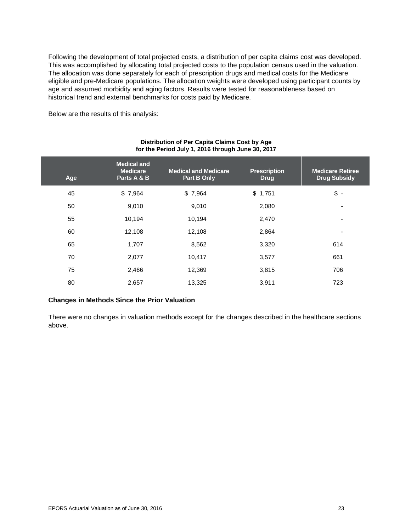Following the development of total projected costs, a distribution of per capita claims cost was developed. This was accomplished by allocating total projected costs to the population census used in the valuation. The allocation was done separately for each of prescription drugs and medical costs for the Medicare eligible and pre-Medicare populations. The allocation weights were developed using participant counts by age and assumed morbidity and aging factors. Results were tested for reasonableness based on historical trend and external benchmarks for costs paid by Medicare.

Below are the results of this analysis:

| Age | <b>Medical and</b><br><b>Medicare</b><br>Parts A & B | <b>Medical and Medicare</b><br>Part B Only | <b>Prescription</b><br><b>Drug</b> | <b>Medicare Retiree</b><br><b>Drug Subsidy</b> |
|-----|------------------------------------------------------|--------------------------------------------|------------------------------------|------------------------------------------------|
| 45  | \$7,964                                              | \$7,964                                    | \$1,751                            | $\frac{1}{2}$ -                                |
| 50  | 9,010                                                | 9,010                                      | 2,080                              | ٠                                              |
| 55  | 10,194                                               | 10,194                                     | 2,470                              | ۰                                              |
| 60  | 12,108                                               | 12,108                                     | 2,864                              | ٠                                              |
| 65  | 1,707                                                | 8,562                                      | 3,320                              | 614                                            |
| 70  | 2,077                                                | 10,417                                     | 3,577                              | 661                                            |
| 75  | 2,466                                                | 12,369                                     | 3,815                              | 706                                            |
| 80  | 2,657                                                | 13,325                                     | 3,911                              | 723                                            |

### **Distribution of Per Capita Claims Cost by Age for the Period July 1, 2016 through June 30, 2017**

### **Changes in Methods Since the Prior Valuation**

There were no changes in valuation methods except for the changes described in the healthcare sections above.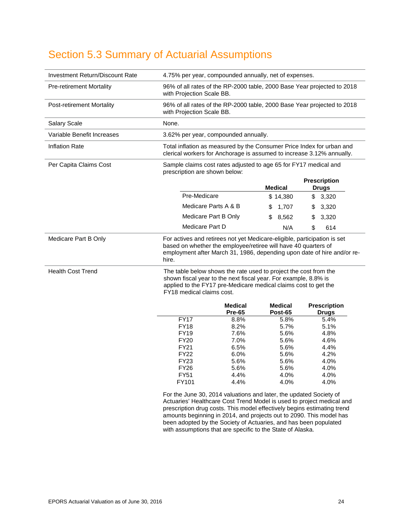# <span id="page-29-0"></span>Section 5.3 Summary of Actuarial Assumptions

| Investment Return/Discount Rate  | 4.75% per year, compounded annually, net of expenses.                                                                                                                                                                               |                      |                                                                                                                                                                                                                                                                                               |    |                    |    |                                                                         |
|----------------------------------|-------------------------------------------------------------------------------------------------------------------------------------------------------------------------------------------------------------------------------------|----------------------|-----------------------------------------------------------------------------------------------------------------------------------------------------------------------------------------------------------------------------------------------------------------------------------------------|----|--------------------|----|-------------------------------------------------------------------------|
| <b>Pre-retirement Mortality</b>  | 96% of all rates of the RP-2000 table, 2000 Base Year projected to 2018<br>with Projection Scale BB.                                                                                                                                |                      |                                                                                                                                                                                                                                                                                               |    |                    |    |                                                                         |
| <b>Post-retirement Mortality</b> | 96% of all rates of the RP-2000 table, 2000 Base Year projected to 2018<br>with Projection Scale BB.                                                                                                                                |                      |                                                                                                                                                                                                                                                                                               |    |                    |    |                                                                         |
| <b>Salary Scale</b>              | None.                                                                                                                                                                                                                               |                      |                                                                                                                                                                                                                                                                                               |    |                    |    |                                                                         |
| Variable Benefit Increases       | 3.62% per year, compounded annually.                                                                                                                                                                                                |                      |                                                                                                                                                                                                                                                                                               |    |                    |    |                                                                         |
| <b>Inflation Rate</b>            | Total inflation as measured by the Consumer Price Index for urban and<br>clerical workers for Anchorage is assumed to increase 3.12% annually.                                                                                      |                      |                                                                                                                                                                                                                                                                                               |    |                    |    |                                                                         |
| Per Capita Claims Cost           | Sample claims cost rates adjusted to age 65 for FY17 medical and<br>prescription are shown below:                                                                                                                                   |                      |                                                                                                                                                                                                                                                                                               |    |                    |    |                                                                         |
|                                  |                                                                                                                                                                                                                                     |                      |                                                                                                                                                                                                                                                                                               |    |                    |    | <b>Prescription</b>                                                     |
|                                  |                                                                                                                                                                                                                                     |                      |                                                                                                                                                                                                                                                                                               |    | <b>Medical</b>     |    | <b>Drugs</b>                                                            |
|                                  |                                                                                                                                                                                                                                     | Pre-Medicare         |                                                                                                                                                                                                                                                                                               |    | \$14,380           | \$ | 3,320                                                                   |
|                                  |                                                                                                                                                                                                                                     | Medicare Parts A & B |                                                                                                                                                                                                                                                                                               | \$ | 1,707              | \$ | 3,320                                                                   |
|                                  |                                                                                                                                                                                                                                     | Medicare Part B Only |                                                                                                                                                                                                                                                                                               | \$ | 8,562              | \$ | 3,320                                                                   |
|                                  |                                                                                                                                                                                                                                     | Medicare Part D      |                                                                                                                                                                                                                                                                                               |    | N/A                | \$ | 614                                                                     |
| Medicare Part B Only             | hire.                                                                                                                                                                                                                               |                      | For actives and retirees not yet Medicare-eligible, participation is set<br>based on whether the employee/retiree will have 40 quarters of                                                                                                                                                    |    |                    |    | employment after March 31, 1986, depending upon date of hire and/or re- |
| <b>Health Cost Trend</b>         | The table below shows the rate used to project the cost from the<br>shown fiscal year to the next fiscal year. For example, 8.8% is<br>applied to the FY17 pre-Medicare medical claims cost to get the<br>FY18 medical claims cost. |                      |                                                                                                                                                                                                                                                                                               |    |                    |    |                                                                         |
|                                  |                                                                                                                                                                                                                                     |                      | Medical<br><b>Pre-65</b>                                                                                                                                                                                                                                                                      |    | Medical<br>Post-65 |    | <b>Prescription</b><br><b>Drugs</b>                                     |
|                                  |                                                                                                                                                                                                                                     | <b>FY17</b>          | 8.8%                                                                                                                                                                                                                                                                                          |    | 5.8%               |    | 5.4%                                                                    |
|                                  |                                                                                                                                                                                                                                     | <b>FY18</b>          | 8.2%                                                                                                                                                                                                                                                                                          |    | 5.7%               |    | 5.1%                                                                    |
|                                  |                                                                                                                                                                                                                                     | <b>FY19</b>          | 7.6%                                                                                                                                                                                                                                                                                          |    | 5.6%               |    | 4.8%                                                                    |
|                                  |                                                                                                                                                                                                                                     | <b>FY20</b>          | 7.0%                                                                                                                                                                                                                                                                                          |    | 5.6%               |    | 4.6%                                                                    |
|                                  |                                                                                                                                                                                                                                     | <b>FY21</b>          | 6.5%                                                                                                                                                                                                                                                                                          |    | 5.6%               |    | 4.4%                                                                    |
|                                  |                                                                                                                                                                                                                                     | <b>FY22</b>          | 6.0%                                                                                                                                                                                                                                                                                          |    | 5.6%               |    | 4.2%                                                                    |
|                                  |                                                                                                                                                                                                                                     | <b>FY23</b>          | 5.6%                                                                                                                                                                                                                                                                                          |    | 5.6%               |    | 4.0%                                                                    |
|                                  |                                                                                                                                                                                                                                     | <b>FY26</b>          | 5.6%                                                                                                                                                                                                                                                                                          |    | 5.6%               |    | 4.0%                                                                    |
|                                  |                                                                                                                                                                                                                                     | <b>FY51</b>          | 4.4%                                                                                                                                                                                                                                                                                          |    | 4.0%               |    | 4.0%                                                                    |
|                                  |                                                                                                                                                                                                                                     | FY101                | 4.4%                                                                                                                                                                                                                                                                                          |    | 4.0%               |    | 4.0%                                                                    |
|                                  |                                                                                                                                                                                                                                     |                      | For the June 30, 2014 valuations and later, the updated Society of<br>Actuaries' Healthcare Cost Trend Model is used to project medical and<br>prescription drug costs. This model effectively begins estimating trend<br>amounts beginning in 2014, and projects out to 2090. This model has |    |                    |    |                                                                         |

been adopted by the Society of Actuaries, and has been populated

with assumptions that are specific to the State of Alaska.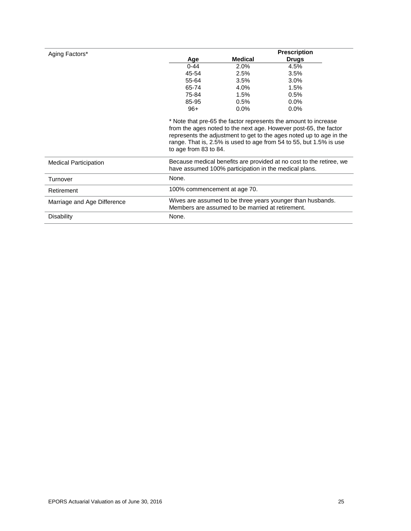| Aging Factors*               |                              |                                                       | <b>Prescription</b>                                                                                                                                                                                                                                                              |
|------------------------------|------------------------------|-------------------------------------------------------|----------------------------------------------------------------------------------------------------------------------------------------------------------------------------------------------------------------------------------------------------------------------------------|
|                              | Age                          | <b>Medical</b>                                        | Drugs                                                                                                                                                                                                                                                                            |
|                              | $0 - 44$                     | 2.0%                                                  | 4.5%                                                                                                                                                                                                                                                                             |
|                              | 45-54                        | 2.5%                                                  | 3.5%                                                                                                                                                                                                                                                                             |
|                              | 55-64                        | 3.5%                                                  | 3.0%                                                                                                                                                                                                                                                                             |
|                              | 65-74                        | 4.0%                                                  | 1.5%                                                                                                                                                                                                                                                                             |
|                              | 75-84                        | 1.5%                                                  | 0.5%                                                                                                                                                                                                                                                                             |
|                              | 85-95                        | 0.5%                                                  | $0.0\%$                                                                                                                                                                                                                                                                          |
|                              | $96+$                        | 0.0%                                                  | $0.0\%$                                                                                                                                                                                                                                                                          |
|                              | to age from 83 to 84.        |                                                       | * Note that pre-65 the factor represents the amount to increase<br>from the ages noted to the next age. However post-65, the factor<br>represents the adjustment to get to the ages noted up to age in the<br>range. That is, 2.5% is used to age from 54 to 55, but 1.5% is use |
| <b>Medical Participation</b> |                              | have assumed 100% participation in the medical plans. | Because medical benefits are provided at no cost to the retiree, we                                                                                                                                                                                                              |
| Turnover                     | None.                        |                                                       |                                                                                                                                                                                                                                                                                  |
| Retirement                   | 100% commencement at age 70. |                                                       |                                                                                                                                                                                                                                                                                  |
| Marriage and Age Difference  |                              | Members are assumed to be married at retirement.      | Wives are assumed to be three years younger than husbands.                                                                                                                                                                                                                       |
| Disability                   | None.                        |                                                       |                                                                                                                                                                                                                                                                                  |